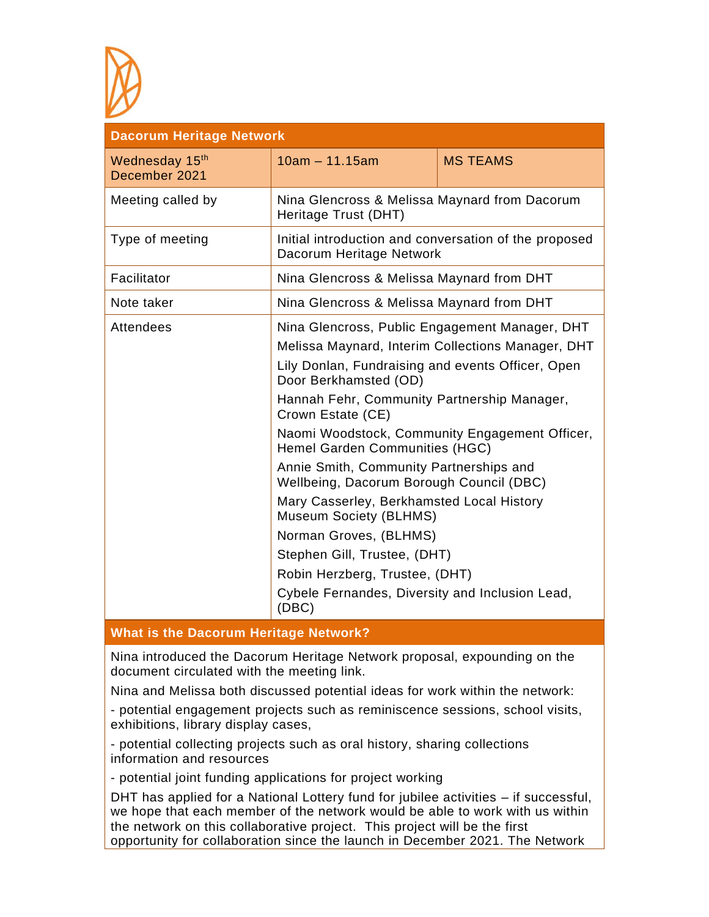

| <b>Dacorum Heritage Network</b> |                                                                                                                                                                                                                                                                                                                                                                                                                                                                               |                 |  |
|---------------------------------|-------------------------------------------------------------------------------------------------------------------------------------------------------------------------------------------------------------------------------------------------------------------------------------------------------------------------------------------------------------------------------------------------------------------------------------------------------------------------------|-----------------|--|
| Wednesday 15th<br>December 2021 | $10am - 11.15am$                                                                                                                                                                                                                                                                                                                                                                                                                                                              | <b>MS TEAMS</b> |  |
| Meeting called by               | Nina Glencross & Melissa Maynard from Dacorum<br>Heritage Trust (DHT)                                                                                                                                                                                                                                                                                                                                                                                                         |                 |  |
| Type of meeting                 | Initial introduction and conversation of the proposed<br>Dacorum Heritage Network                                                                                                                                                                                                                                                                                                                                                                                             |                 |  |
| Facilitator                     | Nina Glencross & Melissa Maynard from DHT                                                                                                                                                                                                                                                                                                                                                                                                                                     |                 |  |
| Note taker                      | Nina Glencross & Melissa Maynard from DHT                                                                                                                                                                                                                                                                                                                                                                                                                                     |                 |  |
| <b>Attendees</b>                | Nina Glencross, Public Engagement Manager, DHT<br>Melissa Maynard, Interim Collections Manager, DHT<br>Lily Donlan, Fundraising and events Officer, Open<br>Door Berkhamsted (OD)<br>Hannah Fehr, Community Partnership Manager,<br>Crown Estate (CE)<br>Naomi Woodstock, Community Engagement Officer,<br>Hemel Garden Communities (HGC)<br>Annie Smith, Community Partnerships and<br>Wellbeing, Dacorum Borough Council (DBC)<br>Mary Casserley, Berkhamsted Local History |                 |  |
|                                 | Museum Society (BLHMS)<br>Norman Groves, (BLHMS)<br>Stephen Gill, Trustee, (DHT)<br>Robin Herzberg, Trustee, (DHT)<br>Cybele Fernandes, Diversity and Inclusion Lead,<br>(DBC)                                                                                                                                                                                                                                                                                                |                 |  |

## **What is the Dacorum Heritage Network?**

Nina introduced the Dacorum Heritage Network proposal, expounding on the document circulated with the meeting link.

Nina and Melissa both discussed potential ideas for work within the network:

- potential engagement projects such as reminiscence sessions, school visits, exhibitions, library display cases,

- potential collecting projects such as oral history, sharing collections information and resources

- potential joint funding applications for project working

DHT has applied for a National Lottery fund for jubilee activities – if successful, we hope that each member of the network would be able to work with us within the network on this collaborative project. This project will be the first opportunity for collaboration since the launch in December 2021. The Network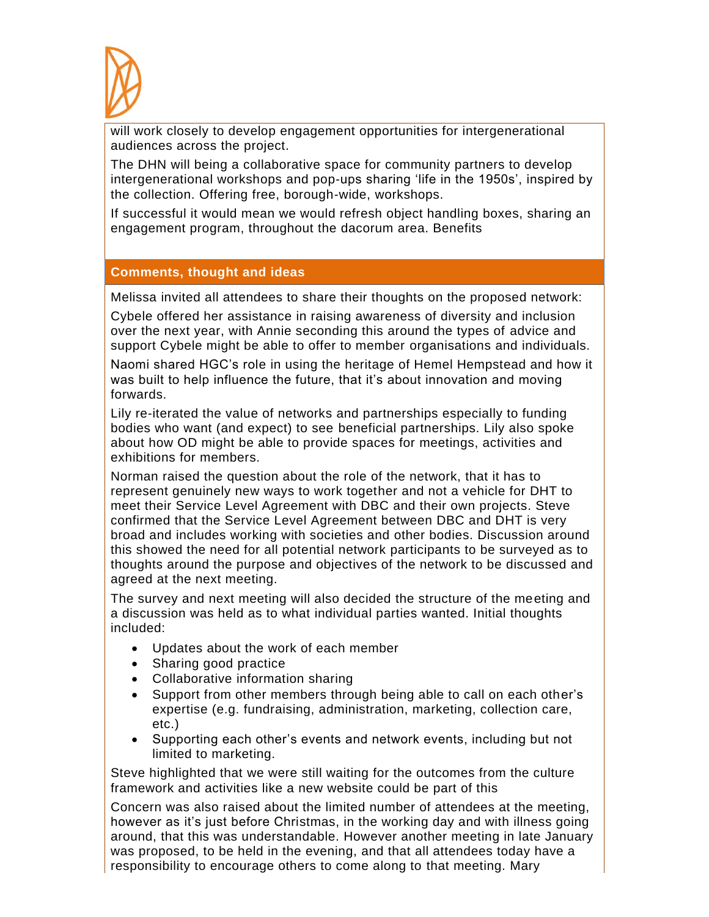

will work closely to develop engagement opportunities for intergenerational audiences across the project.

The DHN will being a collaborative space for community partners to develop intergenerational workshops and pop-ups sharing 'life in the 1950s', inspired by the collection. Offering free, borough-wide, workshops.

If successful it would mean we would refresh object handling boxes, sharing an engagement program, throughout the dacorum area. Benefits

## **Comments, thought and ideas**

Melissa invited all attendees to share their thoughts on the proposed network:

Cybele offered her assistance in raising awareness of diversity and inclusion over the next year, with Annie seconding this around the types of advice and support Cybele might be able to offer to member organisations and individuals.

Naomi shared HGC's role in using the heritage of Hemel Hempstead and how it was built to help influence the future, that it's about innovation and moving forwards.

Lily re-iterated the value of networks and partnerships especially to funding bodies who want (and expect) to see beneficial partnerships. Lily also spoke about how OD might be able to provide spaces for meetings, activities and exhibitions for members.

Norman raised the question about the role of the network, that it has to represent genuinely new ways to work together and not a vehicle for DHT to meet their Service Level Agreement with DBC and their own projects. Steve confirmed that the Service Level Agreement between DBC and DHT is very broad and includes working with societies and other bodies. Discussion around this showed the need for all potential network participants to be surveyed as to thoughts around the purpose and objectives of the network to be discussed and agreed at the next meeting.

The survey and next meeting will also decided the structure of the meeting and a discussion was held as to what individual parties wanted. Initial thoughts included:

- Updates about the work of each member
- Sharing good practice
- Collaborative information sharing
- Support from other members through being able to call on each other's expertise (e.g. fundraising, administration, marketing, collection care, etc.)
- Supporting each other's events and network events, including but not limited to marketing.

Steve highlighted that we were still waiting for the outcomes from the culture framework and activities like a new website could be part of this

Concern was also raised about the limited number of attendees at the meeting, however as it's just before Christmas, in the working day and with illness going around, that this was understandable. However another meeting in late January was proposed, to be held in the evening, and that all attendees today have a responsibility to encourage others to come along to that meeting. Mary